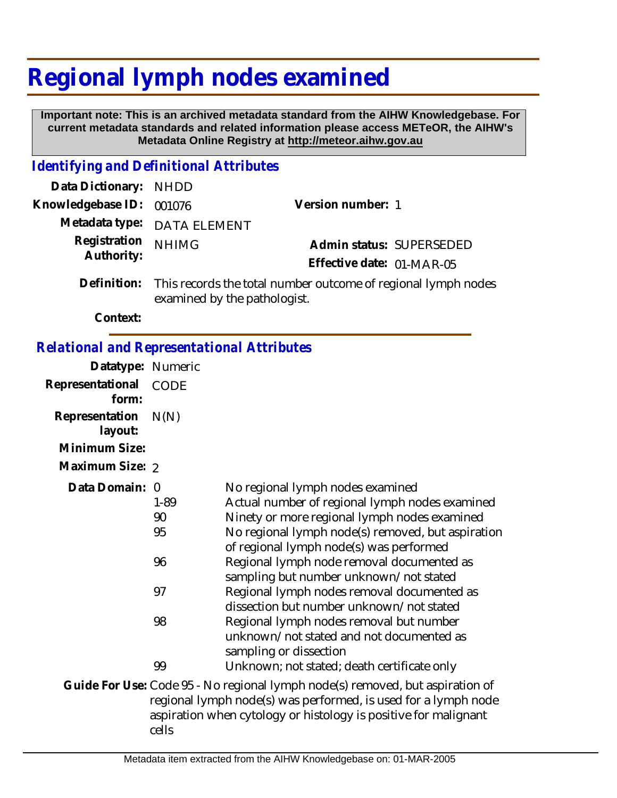## **Regional lymph nodes examined**

 **Important note: This is an archived metadata standard from the AIHW Knowledgebase. For current metadata standards and related information please access METeOR, the AIHW's Metadata Online Registry at http://meteor.aihw.gov.au**

## *Identifying and Definitional Attributes*

| Data Dictionary: NHDD    |                                                                        |                           |                          |
|--------------------------|------------------------------------------------------------------------|---------------------------|--------------------------|
| Knowledgebase ID: 001076 |                                                                        | Version number: 1         |                          |
|                          | Metadata type: DATA ELEMENT                                            |                           |                          |
| Registration NHIMG       |                                                                        |                           | Admin status: SUPERSEDED |
| Authority:               |                                                                        | Effective date: 01-MAR-05 |                          |
|                          | Definition: This records the total number outcome of regional lymph no |                           |                          |

This records the total number outcome of regional lymph nodes examined by the pathologist.

**Context:**

## *Relational and Representational Attributes*

| Datatype: Numeric         |             |                                                                                                                                                                                                                    |
|---------------------------|-------------|--------------------------------------------------------------------------------------------------------------------------------------------------------------------------------------------------------------------|
| Representational<br>form: | <b>CODE</b> |                                                                                                                                                                                                                    |
| Representation<br>layout: | N(N)        |                                                                                                                                                                                                                    |
| Minimum Size:             |             |                                                                                                                                                                                                                    |
| Maximum Size: 2           |             |                                                                                                                                                                                                                    |
| Data Domain: 0            | $1 - 89$    | No regional lymph nodes examined<br>Actual number of regional lymph nodes examined                                                                                                                                 |
|                           | 90          | Ninety or more regional lymph nodes examined                                                                                                                                                                       |
|                           | 95          | No regional lymph node(s) removed, but aspiration<br>of regional lymph node(s) was performed                                                                                                                       |
|                           | 96          | Regional lymph node removal documented as<br>sampling but number unknown/not stated                                                                                                                                |
|                           | 97          | Regional lymph nodes removal documented as<br>dissection but number unknown/not stated                                                                                                                             |
|                           | 98          | Regional lymph nodes removal but number<br>unknown/not stated and not documented as<br>sampling or dissection                                                                                                      |
|                           | 99          | Unknown; not stated; death certificate only                                                                                                                                                                        |
|                           |             | Guide For Use: Code 95 - No regional lymph node(s) removed, but aspiration of<br>regional lymph node(s) was performed, is used for a lymph node<br>aspiration when cytology or histology is positive for malignant |

cells